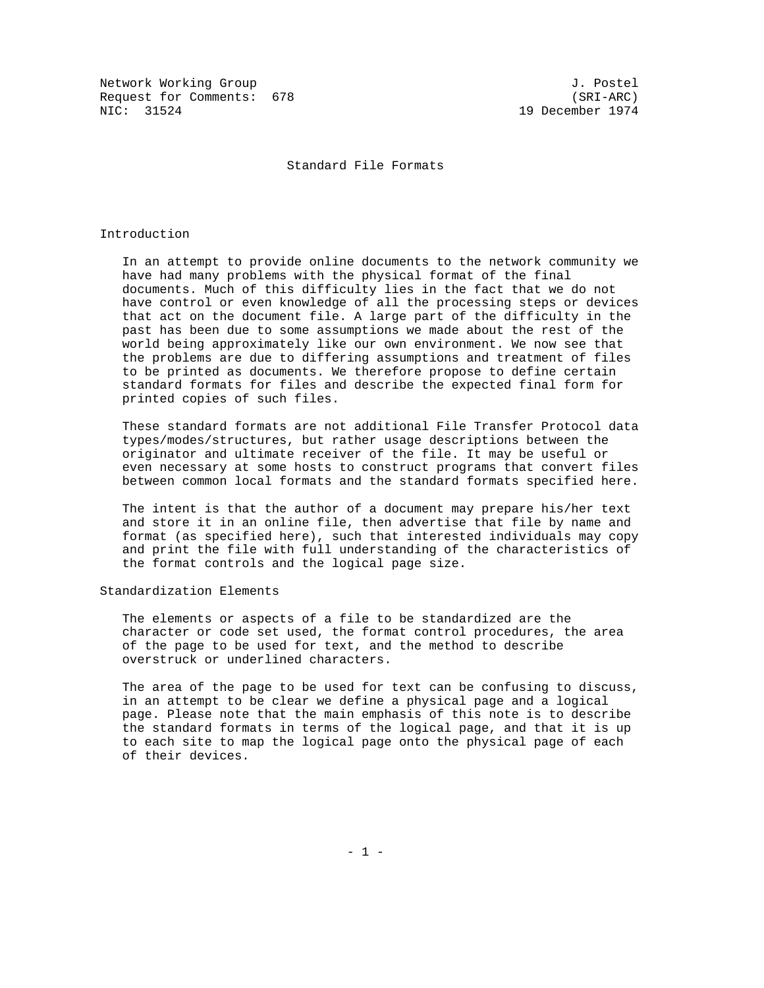Network Working Group 3. 2008 3. Postel Request for Comments: 678 (SRI-ARC)<br>NIC: 31524 1974 (SRI-ARC)

19 December 1974

Standard File Formats

# Introduction

 In an attempt to provide online documents to the network community we have had many problems with the physical format of the final documents. Much of this difficulty lies in the fact that we do not have control or even knowledge of all the processing steps or devices that act on the document file. A large part of the difficulty in the past has been due to some assumptions we made about the rest of the world being approximately like our own environment. We now see that the problems are due to differing assumptions and treatment of files to be printed as documents. We therefore propose to define certain standard formats for files and describe the expected final form for printed copies of such files.

 These standard formats are not additional File Transfer Protocol data types/modes/structures, but rather usage descriptions between the originator and ultimate receiver of the file. It may be useful or even necessary at some hosts to construct programs that convert files between common local formats and the standard formats specified here.

 The intent is that the author of a document may prepare his/her text and store it in an online file, then advertise that file by name and format (as specified here), such that interested individuals may copy and print the file with full understanding of the characteristics of the format controls and the logical page size.

# Standardization Elements

 The elements or aspects of a file to be standardized are the character or code set used, the format control procedures, the area of the page to be used for text, and the method to describe overstruck or underlined characters.

 The area of the page to be used for text can be confusing to discuss, in an attempt to be clear we define a physical page and a logical page. Please note that the main emphasis of this note is to describe the standard formats in terms of the logical page, and that it is up to each site to map the logical page onto the physical page of each of their devices.

- 1 -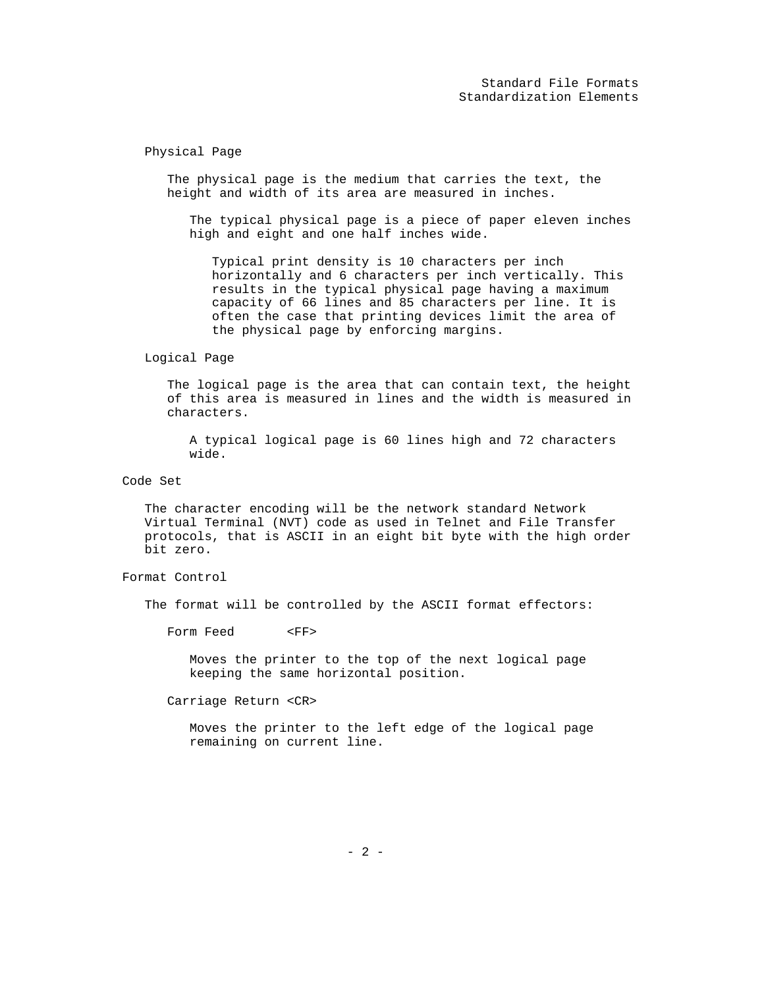Physical Page

 The physical page is the medium that carries the text, the height and width of its area are measured in inches.

 The typical physical page is a piece of paper eleven inches high and eight and one half inches wide.

 Typical print density is 10 characters per inch horizontally and 6 characters per inch vertically. This results in the typical physical page having a maximum capacity of 66 lines and 85 characters per line. It is often the case that printing devices limit the area of the physical page by enforcing margins.

Logical Page

 The logical page is the area that can contain text, the height of this area is measured in lines and the width is measured in characters.

 A typical logical page is 60 lines high and 72 characters wide.

Code Set

 The character encoding will be the network standard Network Virtual Terminal (NVT) code as used in Telnet and File Transfer protocols, that is ASCII in an eight bit byte with the high order bit zero.

Format Control

The format will be controlled by the ASCII format effectors:

Form Feed <FF>

 Moves the printer to the top of the next logical page keeping the same horizontal position.

Carriage Return <CR>

 Moves the printer to the left edge of the logical page remaining on current line.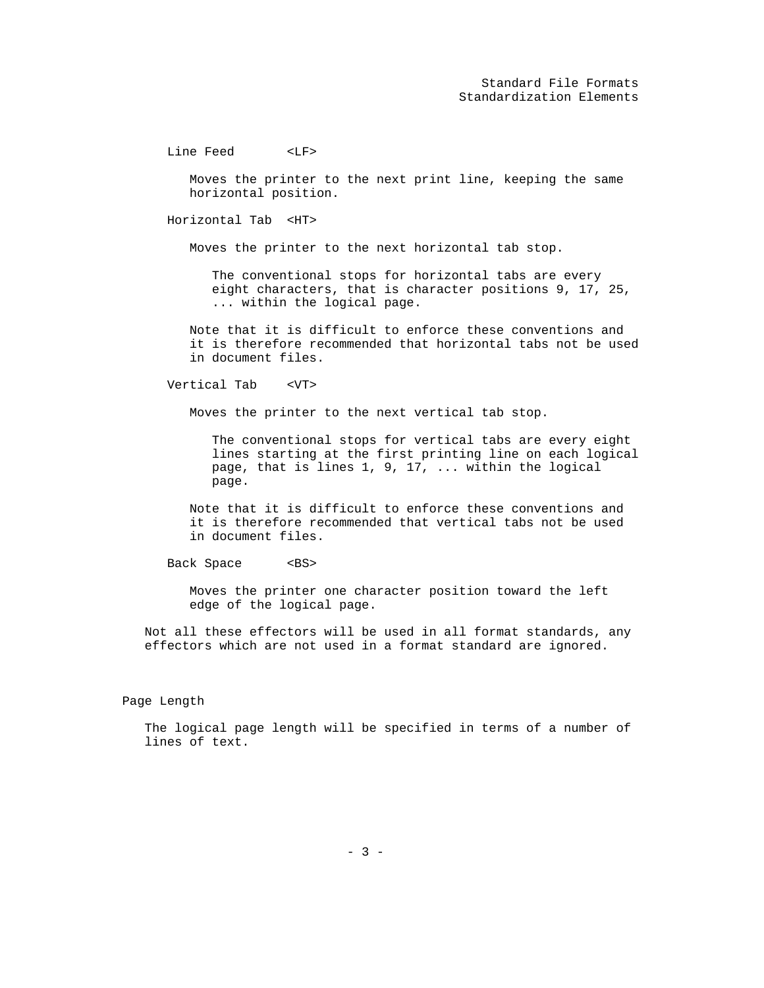Line Feed <LF>

 Moves the printer to the next print line, keeping the same horizontal position.

Horizontal Tab <HT>

Moves the printer to the next horizontal tab stop.

 The conventional stops for horizontal tabs are every eight characters, that is character positions 9, 17, 25, ... within the logical page.

 Note that it is difficult to enforce these conventions and it is therefore recommended that horizontal tabs not be used in document files.

Vertical Tab <VT>

Moves the printer to the next vertical tab stop.

 The conventional stops for vertical tabs are every eight lines starting at the first printing line on each logical page, that is lines 1, 9, 17, ... within the logical page.

 Note that it is difficult to enforce these conventions and it is therefore recommended that vertical tabs not be used in document files.

Back Space <BS>

 Moves the printer one character position toward the left edge of the logical page.

 Not all these effectors will be used in all format standards, any effectors which are not used in a format standard are ignored.

Page Length

 The logical page length will be specified in terms of a number of lines of text.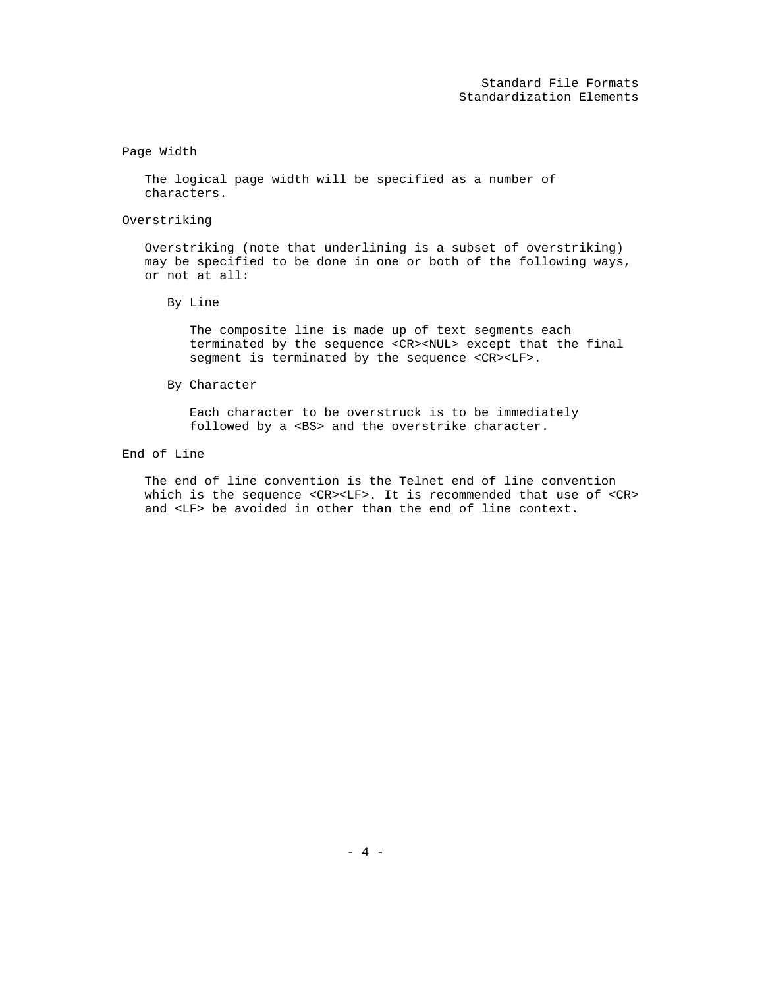# Page Width

 The logical page width will be specified as a number of characters.

# Overstriking

 Overstriking (note that underlining is a subset of overstriking) may be specified to be done in one or both of the following ways, or not at all:

By Line

 The composite line is made up of text segments each terminated by the sequence <CR><NUL> except that the final segment is terminated by the sequence <CR><LF>.

By Character

 Each character to be overstruck is to be immediately followed by a <BS> and the overstrike character.

End of Line

 The end of line convention is the Telnet end of line convention which is the sequence <CR><LF>. It is recommended that use of <CR> and <LF> be avoided in other than the end of line context.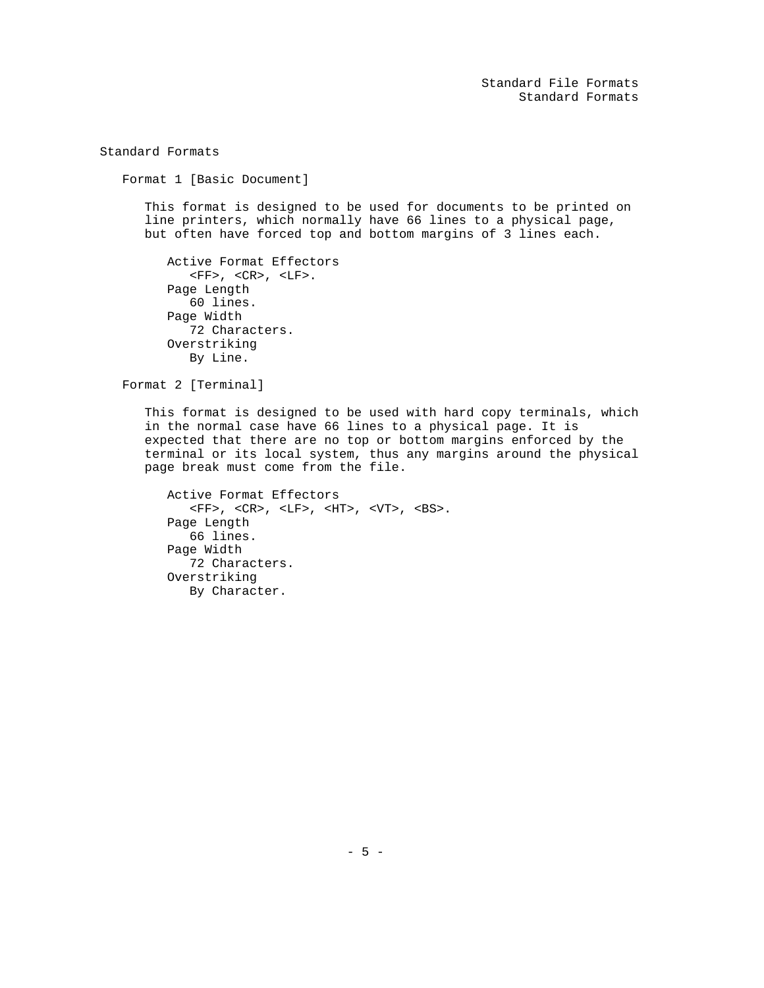Standard File Formats Standard Formats

Standard Formats

Format 1 [Basic Document]

 This format is designed to be used for documents to be printed on line printers, which normally have 66 lines to a physical page, but often have forced top and bottom margins of 3 lines each.

```
 Active Format Effectors
  \langleFF>, \langleCR>, \langleLF>.
Page Length
   60 lines.
Page Width
   72 Characters.
Overstriking
   By Line.
```
Format 2 [Terminal]

 This format is designed to be used with hard copy terminals, which in the normal case have 66 lines to a physical page. It is expected that there are no top or bottom margins enforced by the terminal or its local system, thus any margins around the physical page break must come from the file.

```
 Active Format Effectors
      \langle \text{FF} \rangle \; , \; \; \langle \text{CR} \rangle \; , \; \; \langle \text{LF} \rangle \; , \; \; \langle \text{HT} \rangle \; , \; \; \langle \text{VT} \rangle \; , \; \; \langle \text{BS} \rangle \; . Page Length
       66 lines.
Page Width
       72 Characters.
Overstriking
       By Character.
```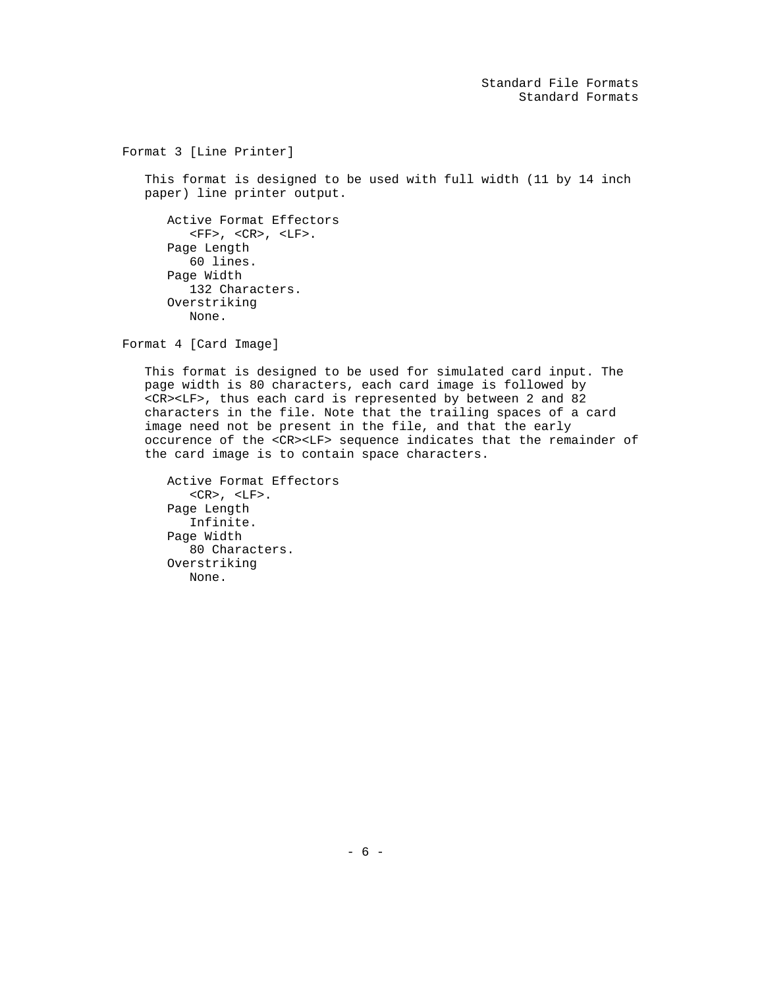Standard File Formats Standard Formats

Format 3 [Line Printer]

 This format is designed to be used with full width (11 by 14 inch paper) line printer output.

 Active Format Effectors  $\textrm{<}\mathrm{FF}$  ,  $\textrm{<}\mathrm{CR}$  ,  $\textrm{<}\mathrm{LF}$  . Page Length 60 lines. Page Width 132 Characters. Overstriking None.

Format 4 [Card Image]

 This format is designed to be used for simulated card input. The page width is 80 characters, each card image is followed by <CR><LF>, thus each card is represented by between 2 and 82 characters in the file. Note that the trailing spaces of a card image need not be present in the file, and that the early occurence of the <CR><LF> sequence indicates that the remainder of the card image is to contain space characters.

```
 Active Format Effectors
  <CR>, <LF>.
Page Length
   Infinite.
Page Width
   80 Characters.
Overstriking
   None.
```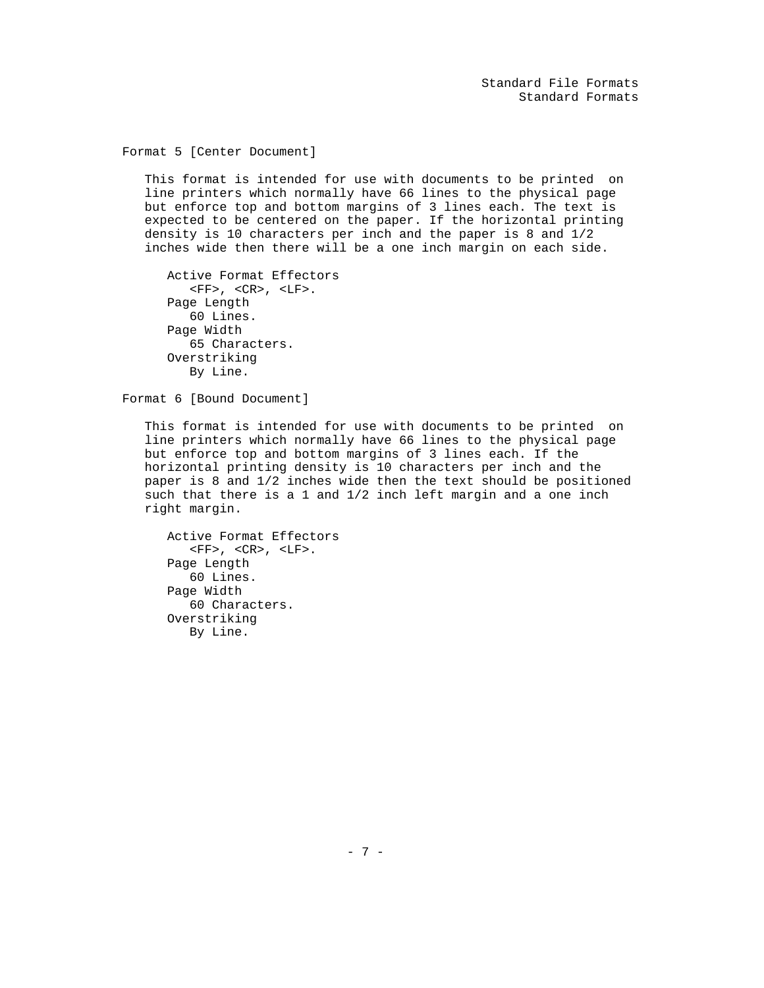Format 5 [Center Document]

 This format is intended for use with documents to be printed on line printers which normally have 66 lines to the physical page but enforce top and bottom margins of 3 lines each. The text is expected to be centered on the paper. If the horizontal printing density is 10 characters per inch and the paper is 8 and 1/2 inches wide then there will be a one inch margin on each side.

```
 Active Format Effectors
   \langle FF> , \langle CR> , \langle LF> . \rangle Page Length
   60 Lines.
Page Width
   65 Characters.
Overstriking
   By Line.
```
Format 6 [Bound Document]

 This format is intended for use with documents to be printed on line printers which normally have 66 lines to the physical page but enforce top and bottom margins of 3 lines each. If the horizontal printing density is 10 characters per inch and the paper is 8 and 1/2 inches wide then the text should be positioned such that there is a 1 and 1/2 inch left margin and a one inch right margin.

```
 Active Format Effectors
   \langle \text{FF} \rangle, \langle \text{CR} \rangle, \langle \text{LF} \rangle.
Page Length
    60 Lines.
Page Width
    60 Characters.
Overstriking
    By Line.
```